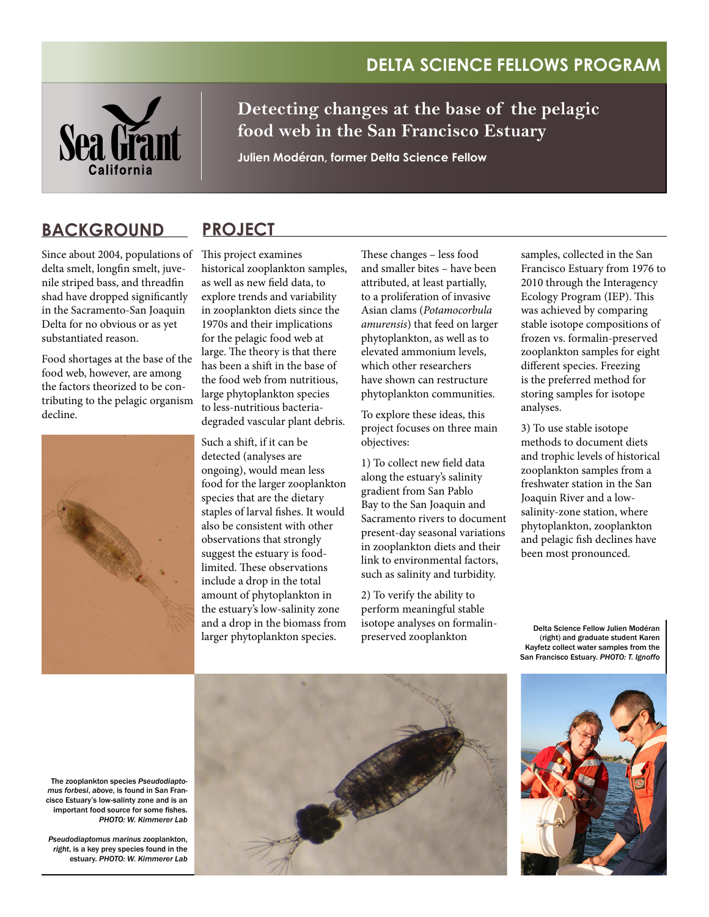## **Delta Science Fellows Program**



**Detecting changes at the base of the pelagic food web in the San Francisco Estuary**

**Julien Modéran, former Delta Science Fellow**

## **Background ProJECT**

Since about 2004, populations of delta smelt, longfin smelt, juvenile striped bass, and threadfin shad have dropped significantly in the Sacramento-San Joaquin Delta for no obvious or as yet substantiated reason.

Food shortages at the base of the food web, however, are among the factors theorized to be contributing to the pelagic organism decline.



This project examines historical zooplankton samples, as well as new field data, to explore trends and variability in zooplankton diets since the 1970s and their implications for the pelagic food web at large. The theory is that there has been a shift in the base of the food web from nutritious, large phytoplankton species to less-nutritious bacteriadegraded vascular plant debris.

Such a shift, if it can be detected (analyses are ongoing), would mean less food for the larger zooplankton species that are the dietary staples of larval fishes. It would also be consistent with other observations that strongly suggest the estuary is foodlimited. These observations include a drop in the total amount of phytoplankton in the estuary's low-salinity zone and a drop in the biomass from larger phytoplankton species.

These changes – less food and smaller bites – have been attributed, at least partially, to a proliferation of invasive Asian clams (*Potamocorbula amurensis*) that feed on larger phytoplankton, as well as to elevated ammonium levels, which other researchers have shown can restructure phytoplankton communities.

To explore these ideas, this project focuses on three main objectives:

1) To collect new field data along the estuary's salinity gradient from San Pablo Bay to the San Joaquin and Sacramento rivers to document present-day seasonal variations in zooplankton diets and their link to environmental factors, such as salinity and turbidity.

2) To verify the ability to perform meaningful stable isotope analyses on formalinpreserved zooplankton

samples, collected in the San Francisco Estuary from 1976 to 2010 through the Interagency Ecology Program (IEP). This was achieved by comparing stable isotope compositions of frozen vs. formalin-preserved zooplankton samples for eight different species. Freezing is the preferred method for storing samples for isotope analyses.

3) To use stable isotope methods to document diets and trophic levels of historical zooplankton samples from a freshwater station in the San Joaquin River and a lowsalinity-zone station, where phytoplankton, zooplankton and pelagic fish declines have been most pronounced.

Delta Science Fellow Julien Modéran (right) and graduate student Karen Kayfetz collect water samples from the San Francisco Estuary. *PHOTO: T. Ignoffo*



The zooplankton species *Pseudodiaptomus forbesi*, *above*, is found in San Francisco Estuary's low-salinty zone and is an important food source for some fishes. *PHOTO: W. Kimmerer Lab*

*Pseudodiaptomus marinus* zooplankton, *right*, is a key prey species found in the estuary. *PHOTO: W. Kimmerer Lab*